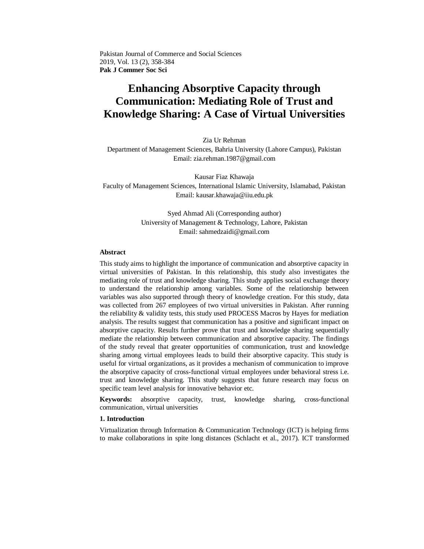Pakistan Journal of Commerce and Social Sciences 2019, Vol. 13 (2), 358-384 **Pak J Commer Soc Sci**

# **Enhancing Absorptive Capacity through Communication: Mediating Role of Trust and Knowledge Sharing: A Case of Virtual Universities**

Zia Ur Rehman

Department of Management Sciences, Bahria University (Lahore Campus), Pakistan Email: zia.rehman.1987@gmail.com

Kausar Fiaz Khawaja Faculty of Management Sciences, International Islamic University, Islamabad, Pakistan Email: kausar.khawaja@iiu.edu.pk

> Syed Ahmad Ali (Corresponding author) University of Management & Technology, Lahore, Pakistan Email: sahmedzaidi@gmail.com

## **Abstract**

This study aims to highlight the importance of communication and absorptive capacity in virtual universities of Pakistan. In this relationship, this study also investigates the mediating role of trust and knowledge sharing. This study applies social exchange theory to understand the relationship among variables. Some of the relationship between variables was also supported through theory of knowledge creation. For this study, data was collected from 267 employees of two virtual universities in Pakistan. After running the reliability & validity tests, this study used PROCESS Macros by Hayes for mediation analysis. The results suggest that communication has a positive and significant impact on absorptive capacity. Results further prove that trust and knowledge sharing sequentially mediate the relationship between communication and absorptive capacity. The findings of the study reveal that greater opportunities of communication, trust and knowledge sharing among virtual employees leads to build their absorptive capacity. This study is useful for virtual organizations, as it provides a mechanism of communication to improve the absorptive capacity of cross-functional virtual employees under behavioral stress i.e. trust and knowledge sharing. This study suggests that future research may focus on specific team level analysis for innovative behavior etc.

**Keywords:** absorptive capacity, trust, knowledge sharing, cross-functional communication, virtual universities

## **1. Introduction**

Virtualization through Information & Communication Technology (ICT) is helping firms to make collaborations in spite long distances (Schlacht [et al., 2017\)](#page-25-0). ICT transformed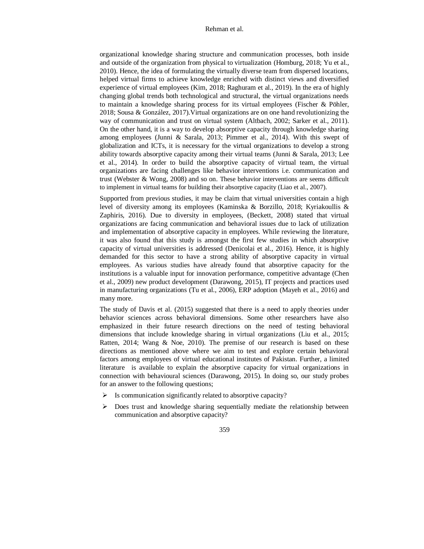organizational knowledge sharing structure and communication processes, both inside and outside of the organization from physical to virtualization [\(Homburg, 2018;](#page-22-0) Yu [et al.,](#page-26-0)  [2010\)](#page-26-0). Hence, the idea of formulating the virtually diverse team from dispersed locations, helped virtual firms to achieve knowledge enriched with distinct views and diversified experience of virtual employees [\(Kim, 2018;](#page-22-1) Raghuram [et al., 2019\)](#page-25-1). In the era of highly changing global trends both technological and structural, the virtual organizations needs to maintain a knowledge sharing process for its virtual employees [\(Fischer & Pöhler,](#page-21-0)  [2018;](#page-21-0) [Sousa & González,](#page-26-1) 2017).Virtual organizations are on one hand revolutionizing the way of communication and trust on virtual system [\(Altbach, 2002;](#page-19-0) Sarker [et al., 2011\)](#page-25-2). On the other hand, it is a way to develop absorptive capacity through knowledge sharing among employees [\(Junni & Sarala, 2013;](#page-22-2) [Pimmer et al., 2014\)](#page-25-3). With this swept of globalization and ICTs, it is necessary for the virtual organizations to develop a strong ability towards absorptive capacity among their virtual teams [\(Junni & Sarala, 2013;](#page-22-2) [Lee](#page-23-0) [et al., 2014\)](#page-23-0). In order to build the absorptive capacity of virtual team, the virtual organizations are facing challenges like behavior interventions i.e. communication and trust [\(Webster & Wong, 2008\)](#page-26-2) and so on. These behavior interventions are seems difficult to implement in virtual teams for building their absorptive capacity (Liao [et al., 2007\)](#page-23-1).

Supported from previous studies, it may be claim that virtual universities contain a high level of diversity among its employees (Kaminska & Borzillo, 2018; Kyriakoullis & Zaphiris, 2016). Due to diversity in employees, [\(Beckett, 2008\)](#page-20-0) stated that virtual organizations are facing communication and behavioral issues due to lack of utilization and implementation of absorptive capacity in employees. While reviewing the literature, it was also found that this study is amongst the first few studies in which absorptive capacity of virtual universities is addressed (Denicolai [et al., 2016\)](#page-21-1). Hence, it is highly demanded for this sector to have a strong ability of absorptive capacity in virtual employees. As various studies have already found that absorptive capacity for the institutions is a valuable input for innovation performance, competitive advantage [\(Chen](#page-20-1) [et al., 2009\)](#page-20-1) new product development [\(Darawong, 2015\)](#page-20-2), IT projects and practices used in manufacturing organizations (Tu et al., 2006), ERP adoption (Mayeh [et al., 2016\)](#page-24-0) and many more.

The study of Davis et al. [\(2015\)](#page-21-2) suggested that there is a need to apply theories under behavior sciences across behavioral dimensions. Some other researchers have also emphasized in their future research directions on the need of testing behavioral dimensions that include knowledge sharing in virtual organizations [\(Liu et al., 2015;](#page-23-2) [Ratten, 2014;](#page-25-4) Wang & Noe, 2010). The premise of our research is based on these directions as mentioned above where we aim to test and explore certain behavioral factors among employees of virtual educational institutes of Pakistan. Further, a limited literature is available to explain the absorptive capacity for virtual organizations in connection with behavioural sciences [\(Darawong, 2015\)](#page-20-2). In doing so, our study probes for an answer to the following questions;

- $\triangleright$  Is communication significantly related to absorptive capacity?
- $\triangleright$  Does trust and knowledge sharing sequentially mediate the relationship between communication and absorptive capacity?
	- 359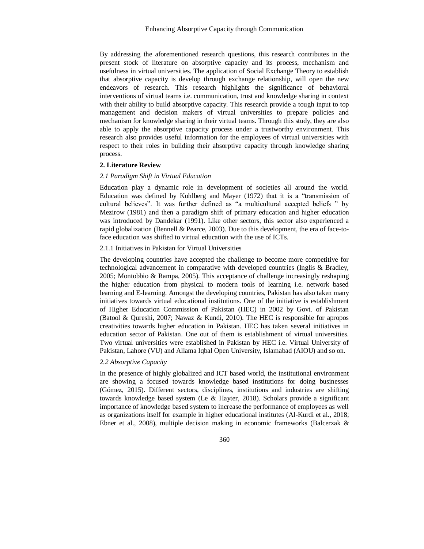By addressing the aforementioned research questions, this research contributes in the present stock of literature on absorptive capacity and its process, mechanism and usefulness in virtual universities. The application of Social Exchange Theory to establish that absorptive capacity is develop through exchange relationship, will open the new endeavors of research. This research highlights the significance of behavioral interventions of virtual teams i.e. communication, trust and knowledge sharing in context with their ability to build absorptive capacity. This research provide a tough input to top management and decision makers of virtual universities to prepare policies and mechanism for knowledge sharing in their virtual teams. Through this study, they are also able to apply the absorptive capacity process under a trustworthy environment. This research also provides useful information for the employees of virtual universities with respect to their roles in building their absorptive capacity through knowledge sharing process.

## **2. Literature Review**

### *2.1 Paradigm Shift in Virtual Education*

Education play a dynamic role in development of societies all around the world. Education was defined by Kohlberg and Mayer  $(1972)$  that it is a "transmission of cultural believes". It was further defined as "a multicultural accepted beliefs " by [Mezirow \(1981\)](#page-24-1) and then a paradigm shift of primary education and higher education was introduced by [Dandekar \(1991\).](#page-20-3) Like other sectors, this sector also experienced a rapid globalization [\(Bennell & Pearce, 2003\)](#page-20-4). Due to this development, the era of face-toface education was shifted to virtual education with the use of ICTs.

## 2.1.1 Initiatives in Pakistan for Virtual Universities

The developing countries have accepted the challenge to become more competitive for technological advancement in comparative with developed countries [\(Inglis & Bradley,](#page-22-3)  [2005;](#page-22-3) [Montobbio & Rampa, 2005\)](#page-24-2). This acceptance of challenge increasingly reshaping the higher education from physical to modern tools of learning i.e. network based learning and E-learning. Amongst the developing countries, Pakistan has also taken many initiatives towards virtual educational institutions. One of the initiative is establishment of Higher Education Commission of Pakistan (HEC) in 2002 by Govt. of Pakistan [\(Batool & Qureshi, 2007;](#page-20-5) [Nawaz & Kundi, 2010\)](#page-24-3). The HEC is responsible for apropos creativities towards higher education in Pakistan. HEC has taken several initiatives in education sector of Pakistan. One out of them is establishment of virtual universities. Two virtual universities were established in Pakistan by HEC i.e. Virtual University of Pakistan, Lahore (VU) and Allama Iqbal Open University, Islamabad (AIOU) and so on.

# *2.2 Absorptive Capacity*

In the presence of highly globalized and ICT based world, the institutional environment are showing a focused towards knowledge based institutions for doing businesses [\(Gómez, 2015\)](#page-21-3). Different sectors, disciplines, institutions and industries are shifting towards knowledge based system [\(Le & Hayter, 2018\)](#page-23-4). Scholars provide a significant importance of knowledge based system to increase the performance of employees as well as organizations itself for example in higher educational institutes (Al-Kurdi [et al., 2018;](#page-19-1) Ebner [et al., 2008\)](#page-21-4), multiple decision making in economic frameworks [\(Balcerzak &](#page-19-2)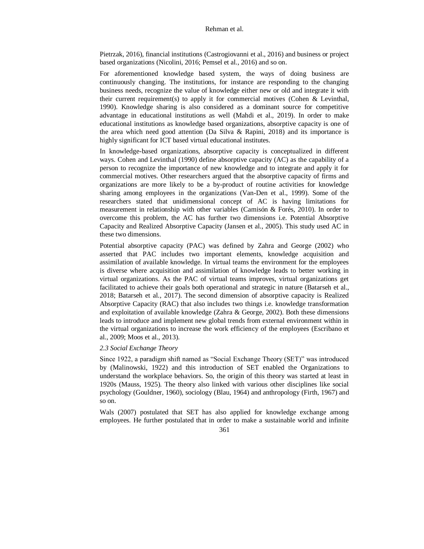Pietrzak, 2016), financial institutions [\(Castrogiovanni](#page-20-6) et al., 2016) and business or project based organizations [\(Nicolini, 2016;](#page-24-4) Pemsel [et al., 2016\)](#page-24-5) and so on.

For aforementioned knowledge based system, the ways of doing business are continuously changing. The institutions, for instance are responding to the changing business needs, recognize the value of knowledge either new or old and integrate it with their current requirement(s) to apply it for commercial motives (Cohen  $\&$  Levinthal, [1990\)](#page-20-7). Knowledge sharing is also considered as a dominant source for competitive advantage in educational institutions as well (Mahdi [et al., 2019\)](#page-23-5). In order to make educational institutions as knowledge based organizations, absorptive capacity is one of the area which need good attention [\(Da Silva & Rapini, 2018\)](#page-20-8) and its importance is highly significant for ICT based virtual educational institutes.

In knowledge-based organizations, absorptive capacity is conceptualized in different ways. [Cohen and Levinthal \(1990\)](#page-20-7) define absorptive capacity (AC) as the capability of a person to recognize the importance of new knowledge and to integrate and apply it for commercial motives. Other researchers argued that the absorptive capacity of firms and organizations are more likely to be a by-product of routine activities for knowledge sharing among employees in the organizations (Van-Den [et al., 1999\)](#page-26-3). Some of the researchers stated that unidimensional concept of AC is having limitations for measurement in relationship with other variables [\(Camisón & Forés, 2010\)](#page-20-9). In order to overcome this problem, the AC has further two dimensions i.e. Potential Absorptive Capacity and Realized Absorptive Capacity (Jansen [et al., 2005\)](#page-22-4). This study used AC in these two dimensions.

Potential absorptive capacity (PAC) was defined by [Zahra and George \(2002\)](#page-26-4) who asserted that PAC includes two important elements, knowledge acquisition and assimilation of available knowledge. In virtual teams the environment for the employees is diverse where acquisition and assimilation of knowledge leads to better working in virtual organizations. As the PAC of virtual teams improves, virtual organizations get facilitated to achieve their goals both operational and strategic in nature [\(Batarseh](#page-19-3) et al., [2018;](#page-19-3) Batarseh et al., 2017). The second dimension of absorptive capacity is Realized Absorptive Capacity (RAC) that also includes two things i.e. knowledge transformation and exploitation of available knowledge [\(Zahra & George, 2002\)](#page-26-4). Both these dimensions leads to introduce and implement new global trends from external environment within in the virtual organizations to increase the work efficiency of the employees [\(Escribano](#page-21-5) et [al., 2009;](#page-21-5) Moos [et al., 2013\)](#page-24-6).

## *2.3 Social Exchange Theory*

Since 1922, a paradigm shift named as "Social Exchange Theory (SET)" was introduced by [\(Malinowski, 1922\)](#page-23-6) and this introduction of SET enabled the Organizations to understand the workplace behaviors. So, the origin of this theory was started at least in 1920s [\(Mauss, 1925\)](#page-23-7). The theory also linked with various other disciplines like social psychology [\(Gouldner, 1960\)](#page-21-6), sociology [\(Blau, 1964\)](#page-20-10) and anthropology [\(Firth, 1967\)](#page-21-7) and so on.

[Wals \(2007\)](#page-26-5) postulated that SET has also applied for knowledge exchange among employees. He further postulated that in order to make a sustainable world and infinite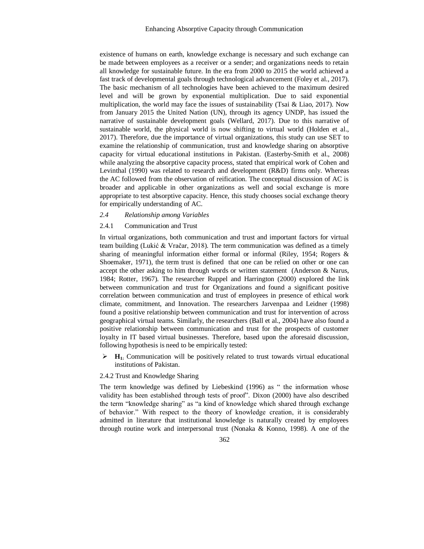existence of humans on earth, knowledge exchange is necessary and such exchange can be made between employees as a receiver or a sender; and organizations needs to retain all knowledge for sustainable future. In the era from 2000 to 2015 the world achieved a fast track of developmental goals through technological advancement (Foley [et al., 2017\)](#page-21-8). The basic mechanism of all technologies have been achieved to the maximum desired level and will be grown by exponential multiplication. Due to said exponential multiplication, the world may face the issues of sustainability [\(Tsai & Liao, 2017\)](#page-26-6). Now from January 2015 the United Nation (UN), through its agency UNDP, has issued the narrative of sustainable development goals [\(Wellard, 2017\)](#page-26-7). Due to this narrative of sustainable world, the physical world is now shifting to virtual world [\(Holden](#page-22-5) et al., [2017\)](#page-22-5). Therefore, due the importance of virtual organizations, this study can use SET to examine the relationship of communication, trust and knowledge sharing on absorptive capacity for virtual educational institutions in Pakistan. [\(Easterby-Smith](#page-21-9) et al., 2008) while analyzing the absorptive capacity process, stated that empirical work of Cohen and Levinthal (1990) was related to research and development (R&D) firms only. Whereas the AC followed from the observation of reification. The conceptual discussion of AC is broader and applicable in other organizations as well and social exchange is more appropriate to test absorptive capacity. Hence, this study chooses social exchange theory for empirically understanding of AC.

#### *2.4 Relationship among Variables*

# 2.4.1 Communication and Trust

In virtual organizations, both communication and trust and important factors for virtual team building [\(Lukić & Vračar, 2018\)](#page-23-8). The term communication was defined as a timely sharing of meaningful information either formal or informal [\(Riley, 1954;](#page-25-5) [Rogers &](#page-25-6)  [Shoemaker, 1971\)](#page-25-6), the term trust is defined that one can be relied on other or one can accept the other asking to him through words or written statement [\(Anderson & Narus,](#page-19-4)  [1984;](#page-19-4) [Rotter, 1967\)](#page-25-7). The researcher [Ruppel and Harrington \(2000\)](#page-25-8) explored the link between communication and trust for Organizations and found a significant positive correlation between communication and trust of employees in presence of ethical work climate, commitment, and Innovation. The researchers [Jarvenpaa and Leidner \(1998\)](#page-22-6) found a positive relationship between communication and trust for intervention of across geographical virtual teams. Similarly, the researchers (Ball [et al., 2004\)](#page-19-5) have also found a positive relationship between communication and trust for the prospects of customer loyalty in IT based virtual businesses. Therefore, based upon the aforesaid discussion, following hypothesis is need to be empirically tested:

 $\blacktriangleright$  **H**<sub>1</sub>. Communication will be positively related to trust towards virtual educational institutions of Pakistan.

#### 2.4.2 Trust and Knowledge Sharing

The term knowledge was defined by [Liebeskind \(1996\)](#page-23-9) as " the information whose validity has been established through tests of proof". [Dixon \(2000\)](#page-21-10) have also described the term "knowledge sharing" as "a kind of knowledge which shared through exchange of behavior.‖ With respect to the theory of knowledge creation, it is considerably admitted in literature that institutional knowledge is naturally created by employees through routine work and interpersonal trust [\(Nonaka & Konno, 1998\)](#page-24-7). A one of the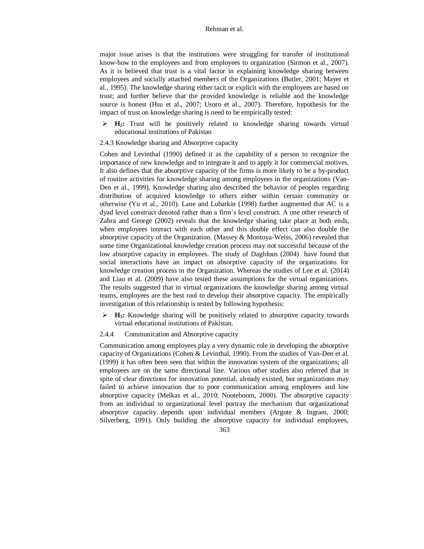major issue arises is that the institutions were struggling for transfer of institutional know-how to the employees and from employees to organization (Sirmon [et al., 2007\)](#page-26-8). As it is believed that trust is a vital factor in explaining knowledge sharing between employees and socially attached members of the Organizations [\(Butler, 2001;](#page-20-11) [Mayer](#page-24-8) et [al., 1995\)](#page-24-8). The knowledge sharing either tacit or explicit with the employees are based on trust; and further believe that the provided knowledge is reliable and the knowledge source is honest (Hsu [et al., 2007;](#page-22-7) Usoro [et al., 2007\)](#page-26-9). Therefore, hypothesis for the impact of trust on knowledge sharing is need to be empirically tested:

- **H2:** Trust will be positively related to knowledge sharing towards virtual educational institutions of Pakistan
- 2.4.3 Knowledge sharing and Absorptive capacity

[Cohen and Levinthal \(1990\)](#page-20-7) defined it as the capability of a person to recognize the importance of new knowledge and to integrate it and to apply it for commercial motives. It also defines that the absorptive capacity of the firms is more likely to be a by-product of routine activities for knowledge sharing among employees in the organizations [\(Van-](#page-26-3)[Den et al., 1999\)](#page-26-3). Knowledge sharing also described the behavior of peoples regarding distribution of acquired knowledge to others either within certain community or otherwise [\(Yu et al., 2010\)](#page-26-0). [Lane and Lubatkin \(1998\)](#page-23-10) further augmented that AC is a dyad level construct denoted rather than a firm's level construct. A one other research of [Zahra and George \(2002\)](#page-26-4) reveals that the knowledge sharing take place at both ends, when employees interact with each other and this double effect can also double the absorptive capacity of the Organization. [\(Massey & Montoya-Weiss, 2006\)](#page-23-11) revealed that some time Organizational knowledge creation process may not successful because of the low absorptive capacity in employees. The study of [Daghfous \(2004\)](#page-20-12) have found that social interactions have an impact on absorptive capacity of the organizations for knowledge creation process in the Organization. Whereas the studies of Lee [et al. \(2014\)](#page-23-0) and Liao et al. [\(2009\)](#page-23-12) have also tested these assumptions for the virtual organizations. The results suggested that in virtual organizations the knowledge sharing among virtual teams, employees are the best tool to develop their absorptive capacity. The empirically investigation of this relationship is tested by following hypothesis:

 **H3:** Knowledge sharing will be positively related to absorptive capacity towards virtual educational institutions of Pakistan.

## 2.4.4 Communication and Absorptive capacity

Communication among employees play a very dynamic role in developing the absorptive capacity of Organizations [\(Cohen & Levinthal, 1990\)](#page-20-7). From the studies of [Van-Den et al.](#page-26-3)  (1999) it has often been seen that within the innovation system of the organizations; all employees are on the same directional line. Various other studies also referred that in spite of clear directions for innovation potential, already existed, but organizations may failed to achieve innovation due to poor communication among employees and low absorptive capacity (Melkas [et al., 2010;](#page-24-9) [Nooteboom, 2000\)](#page-24-10). The absorptive capacity from an individual to organizational level portray the mechanism that organizational absorptive capacity depends upon individual members (Argote [& Ingram, 2000;](#page-19-6) [Silverberg, 1991\)](#page-25-9). Only building the absorptive capacity for individual employees,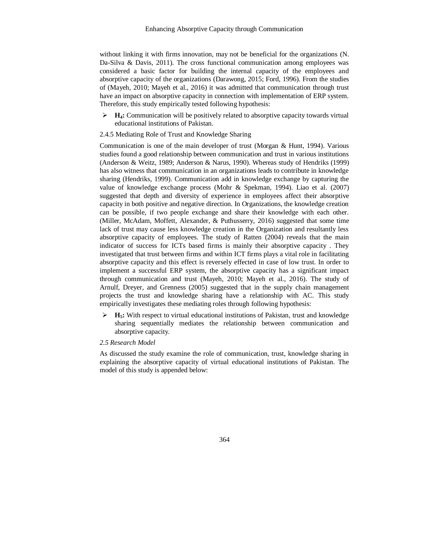without linking it with firms innovation, may not be beneficial for the organizations [\(N.](#page-20-13)  [Da-Silva & Davis, 2011\)](#page-20-13). The cross functional communication among employees was considered a basic factor for building the internal capacity of the employees and absorptive capacity of the organizations [\(Darawong, 2015;](#page-20-2) [Ford, 1996\)](#page-21-11). From the studies of [\(Mayeh, 2010;](#page-23-13) [Mayeh et al., 2016\)](#page-24-0) it was admitted that communication through trust have an impact on absorptive capacity in connection with implementation of ERP system. Therefore, this study empirically tested following hypothesis:

 $\blacktriangleright$  **H<sub>4</sub>**: Communication will be positively related to absorptive capacity towards virtual educational institutions of Pakistan.

#### 2.4.5 Mediating Role of Trust and Knowledge Sharing

Communication is one of the main developer of trust [\(Morgan & Hunt, 1994\)](#page-24-11). Various studies found a good relationship between communication and trust in various institutions [\(Anderson & Weitz, 1989;](#page-19-7) [Anderson & Narus, 1990\)](#page-19-8). Whereas study of [Hendriks \(1999\)](#page-22-8) has also witness that communication in an organizations leads to contribute in knowledge sharing [\(Hendriks, 1999\)](#page-22-8). Communication add in knowledge exchange by capturing the value of knowledge exchange process [\(Mohr & Spekman, 1994\)](#page-24-12). [Liao et al. \(2007\)](#page-23-1) suggested that depth and diversity of experience in employees affect their absorptive capacity in both positive and negative direction. In Organizations, the knowledge creation can be possible, if two people exchange and share their knowledge with each other. [\(Miller, McAdam, Moffett, Alexander, & Puthusserry,](#page-24-13) 2016) suggested that some time lack of trust may cause less knowledge creation in the Organization and resultantly less absorptive capacity of employees. The study of [Ratten \(2004\)](#page-25-10) reveals that the main indicator of success for ICTs based firms is mainly their absorptive capacity . They investigated that trust between firms and within ICT firms plays a vital role in facilitating absorptive capacity and this effect is reversely effected in case of low trust. In order to implement a successful ERP system, the absorptive capacity has a significant impact through communication and trust [\(Mayeh, 2010;](#page-23-13) [Mayeh et al., 2016\)](#page-24-0). The study of [Arnulf, Dreyer, and Grenness \(2005\)](#page-19-9) suggested that in the supply chain management projects the trust and knowledge sharing have a relationship with AC. This study empirically investigates these mediating roles through following hypothesis:

 **H5:** With respect to virtual educational institutions of Pakistan, trust and knowledge sharing sequentially mediates the relationship between communication and absorptive capacity.

# *2.5 Research Model*

As discussed the study examine the role of communication, trust, knowledge sharing in explaining the absorptive capacity of virtual educational institutions of Pakistan. The model of this study is appended below: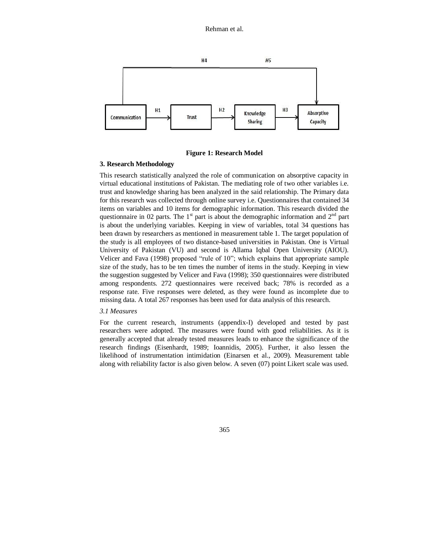

**Figure 1: Research Model**

# **3. Research Methodology**

This research statistically analyzed the role of communication on absorptive capacity in virtual educational institutions of Pakistan. The mediating role of two other variables i.e. trust and knowledge sharing has been analyzed in the said relationship. The Primary data for this research was collected through online survey i.e. Questionnaires that contained 34 items on variables and 10 items for demographic information. This research divided the questionnaire in 02 parts. The  $1<sup>st</sup>$  part is about the demographic information and  $2<sup>nd</sup>$  part is about the underlying variables. Keeping in view of variables, total 34 questions has been drawn by researchers as mentioned in measurement table 1. The target population of the study is all employees of two distance-based universities in Pakistan. One is Virtual University of Pakistan (VU) and second is Allama Iqbal Open University (AIOU). [Velicer and Fava \(1998\)](#page-26-10) proposed "rule of 10"; which explains that appropriate sample size of the study, has to be ten times the number of items in the study. Keeping in view the suggestion suggested b[y Velicer and Fava \(1998\);](#page-26-10) 350 questionnaires were distributed among respondents. 272 questionnaires were received back; 78% is recorded as a response rate. Five responses were deleted, as they were found as incomplete due to missing data. A total 267 responses has been used for data analysis of this research.

## *3.1 Measures*

For the current research, instruments (appendix-I) developed and tested by past researchers were adopted. The measures were found with good reliabilities. As it is generally accepted that already tested measures leads to enhance the significance of the research findings [\(Eisenhardt, 1989;](#page-21-12) [Ioannidis, 2005\)](#page-22-9). Further, it also lessen the likelihood of instrumentation intimidation (Einarsen [et al., 2009\)](#page-21-13). Measurement table along with reliability factor is also given below. A seven (07) point Likert scale was used.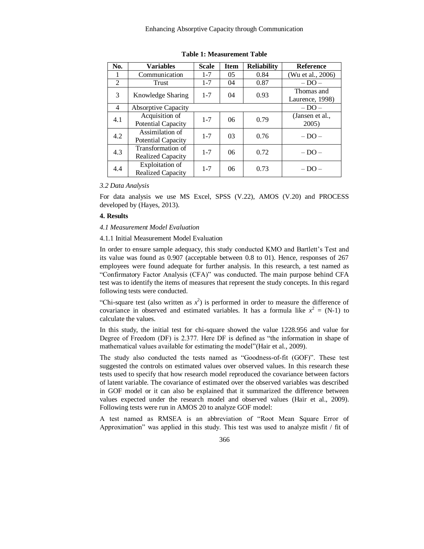#### Enhancing Absorptive Capacity through Communication

| No. | <b>Variables</b>                              | <b>Scale</b> | <b>Item</b>    | <b>Reliability</b> | <b>Reference</b>              |
|-----|-----------------------------------------------|--------------|----------------|--------------------|-------------------------------|
|     | Communication                                 | $1 - 7$      | 05             | 0.84               | (Wu et al., 2006)             |
| 2   | Trust                                         | $1 - 7$      | 04             | 0.87               | $-DO-$                        |
| 3   | Knowledge Sharing                             | $1 - 7$      | 04             | 0.93               | Thomas and<br>Laurence, 1998) |
| 4   | <b>Absorptive Capacity</b>                    |              |                |                    | $-DO-$                        |
| 4.1 | Acquisition of<br>Potential Capacity          | $1 - 7$      | 06             | 0.79               | (Jansen et al.,<br>2005)      |
| 4.2 | Assimilation of<br>Potential Capacity         | $1 - 7$      | 0 <sup>3</sup> | 0.76               | $-$ DO $-$                    |
| 4.3 | Transformation of<br><b>Realized Capacity</b> | $1 - 7$      | 06             | 0.72               | $-DO-$                        |
| 4.4 | Exploitation of<br><b>Realized Capacity</b>   | $1 - 7$      | 06             | 0.73               | $-$ DO $-$                    |

**Table 1: Measurement Table**

*3.2 Data Analysis*

For data analysis we use MS Excel, SPSS (V.22), AMOS (V.20) and PROCESS developed by (Hayes, 2013).

## **4. Results**

#### *4.1 Measurement Model Evaluation*

## 4.1.1 Initial Measurement Model Evaluation

In order to ensure sample adequacy, this study conducted KMO and Bartlett's Test and its value was found as 0.907 (acceptable between 0.8 to 01). Hence, responses of 267 employees were found adequate for further analysis. In this research, a test named as ―Confirmatory Factor Analysis (CFA)‖ was conducted. The main purpose behind CFA test was to identify the items of measures that represent the study concepts. In this regard following tests were conducted.

"Chi-square test (also written as  $x^2$ ) is performed in order to measure the difference of covariance in observed and estimated variables. It has a formula like  $x^2 = (N-1)$  to calculate the values.

In this study, the initial test for chi-square showed the value 1228.956 and value for Degree of Freedom (DF) is 2.377. Here DF is defined as "the information in shape of mathematical values available for estimating the model"(Hair [et al., 2009\)](#page-22-10).

The study also conducted the tests named as "Goodness-of-fit (GOF)". These test suggested the controls on estimated values over observed values. In this research these tests used to specify that how research model reproduced the covariance between factors of latent variable. The covariance of estimated over the observed variables was described in GOF model or it can also be explained that it summarized the difference between values expected under the research model and observed values [\(Hair et al., 2009\)](#page-22-10). Following tests were run in AMOS 20 to analyze GOF model:

A test named as RMSEA is an abbreviation of "Root Mean Square Error of Approximation" was applied in this study. This test was used to analyze misfit / fit of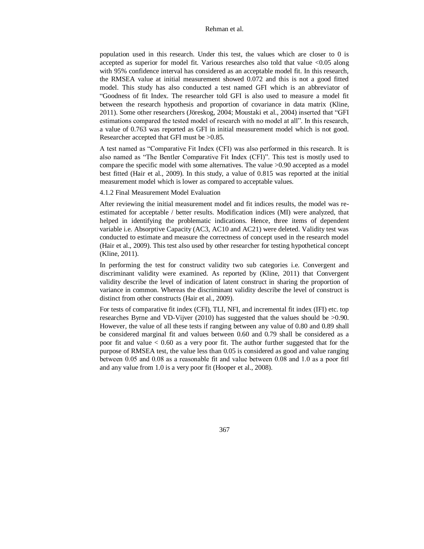population used in this research. Under this test, the values which are closer to 0 is accepted as superior for model fit. Various researches also told that value <0.05 along with 95% confidence interval has considered as an acceptable model fit. In this research, the RMSEA value at initial measurement showed 0.072 and this is not a good fitted model. This study has also conducted a test named GFI which is an abbreviator of ―Goodness of fit Index. The researcher told GFI is also used to measure a model fit between the research hypothesis and proportion of covariance in data matrix [\(Kline,](#page-22-11)  [2011\)](#page-22-11). Some other researchers [\(Jöreskog, 2004;](#page-22-12) Moustaki [et al., 2004\)](#page-24-14) inserted that "GFI estimations compared the tested model of research with no model at all". In this research, a value of 0.763 was reported as GFI in initial measurement model which is not good. Researcher accepted that GFI must be >0.85.

A test named as "Comparative Fit Index (CFI) was also performed in this research. It is also named as "The Bentler Comparative Fit Index (CFI)". This test is mostly used to compare the specific model with some alternatives. The value >0.90 accepted as a model best fitted [\(Hair et al., 2009\)](#page-22-10). In this study, a value of 0.815 was reported at the initial measurement model which is lower as compared to acceptable values.

4.1.2 Final Measurement Model Evaluation

After reviewing the initial measurement model and fit indices results, the model was reestimated for acceptable / better results. Modification indices (MI) were analyzed, that helped in identifying the problematic indications. Hence, three items of dependent variable i.e. Absorptive Capacity (AC3, AC10 and AC21) were deleted. Validity test was conducted to estimate and measure the correctness of concept used in the research model [\(Hair et al., 2009\)](#page-22-10). This test also used by other researcher for testing hypothetical concept [\(Kline, 2011\)](#page-22-11).

In performing the test for construct validity two sub categories i.e. Convergent and discriminant validity were examined. As reported by [\(Kline, 2011\)](#page-22-11) that Convergent validity describe the level of indication of latent construct in sharing the proportion of variance in common. Whereas the discriminant validity describe the level of construct is distinct from other constructs [\(Hair et al., 2009\)](#page-22-10).

For tests of comparative fit index (CFI), TLI, NFI, and incremental fit index (IFI) etc. top researches [Byrne and VD-Vijver \(2010\)](#page-20-14) has suggested that the values should be >0.90. However, the value of all these tests if ranging between any value of 0.80 and 0.89 shall be considered marginal fit and values between 0.60 and 0.79 shall be considered as a poor fit and value < 0.60 as a very poor fit. The author further suggested that for the purpose of RMSEA test, the value less than 0.05 is considered as good and value ranging between 0.05 and 0.08 as a reasonable fit and value between 0.08 and 1.0 as a poor fitl and any value from 1.0 is a very poor fit (Hooper [et al., 2008\)](#page-22-13).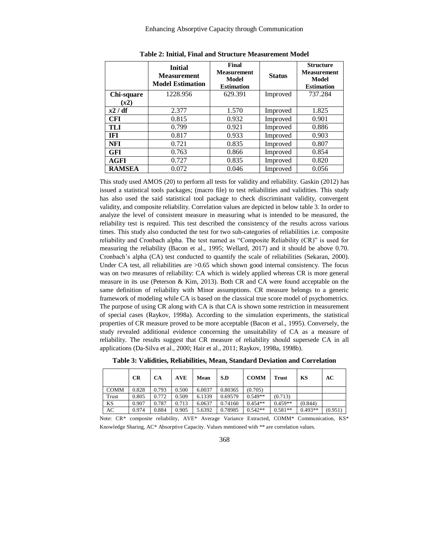|               | <b>Initial</b><br><b>Measurement</b><br><b>Model Estimation</b> | Final<br><b>Measurement</b><br>Model<br><b>Estimation</b> | <b>Status</b> | <b>Structure</b><br><b>Measurement</b><br>Model<br><b>Estimation</b> |
|---------------|-----------------------------------------------------------------|-----------------------------------------------------------|---------------|----------------------------------------------------------------------|
| Chi-square    | 1228.956                                                        | 629.391                                                   | Improved      | 737.284                                                              |
| (x2)          |                                                                 |                                                           |               |                                                                      |
| x2/df         | 2.377                                                           | 1.570                                                     | Improved      | 1.825                                                                |
| <b>CFI</b>    | 0.815                                                           | 0.932                                                     | Improved      | 0.901                                                                |
| TLI           | 0.799                                                           | 0.921                                                     | Improved      | 0.886                                                                |
| IFI           | 0.817                                                           | 0.933                                                     | Improved      | 0.903                                                                |
| <b>NFI</b>    | 0.721                                                           | 0.835                                                     | Improved      | 0.807                                                                |
| <b>GFI</b>    | 0.763                                                           | 0.866                                                     | Improved      | 0.854                                                                |
| AGFI          | 0.727                                                           | 0.835                                                     | Improved      | 0.820                                                                |
| <b>RAMSEA</b> | 0.072                                                           | 0.046                                                     | Improved      | 0.056                                                                |

| <b>Table 2: Initial, Final and Structure Measurement Model</b> |  |  |  |  |
|----------------------------------------------------------------|--|--|--|--|
|----------------------------------------------------------------|--|--|--|--|

This study used AMOS (20) to perform all tests for validity and reliability. [Gaskin \(2012\)](#page-21-14) has issued a statistical tools packages; (macro file) to test reliabilities and validities. This study has also used the said statistical tool package to check discriminant validity, convergent validity, and composite reliability. Correlation values are depicted in below table 3. In order to analyze the level of consistent measure in measuring what is intended to be measured, the reliability test is required. This test described the consistency of the results across various times. This study also conducted the test for two sub-categories of reliabilities i.e. composite reliability and Cronbach alpha. The test named as "Composite Reliability (CR)" is used for measuring the reliability (Bacon [et al., 1995;](#page-19-10) [Wellard, 2017\)](#page-26-7) and it should be above 0.70. Cronbach's alpha (CA) test conducted to quantify the scale of reliabilities [\(Sekaran, 2000\)](#page-25-11). Under CA test, all reliabilities are  $> 0.65$  which shown good internal consistency. The focus was on two measures of reliability: CA which is widely applied whereas CR is more general measure in its use [\(Peterson & Kim, 2013\)](#page-24-15). Both CR and CA were found acceptable on the same definition of reliability with Minor assumptions. CR measure belongs to a generic framework of modeling while CA is based on the classical true score model of psychometrics. The purpose of using CR along with CA is that CA is shown some restriction in measurement of special cases [\(Raykov, 1998a\)](#page-25-12). According to the simulation experiments, the statistical properties of CR measure proved to be more acceptable [\(Bacon et al., 1995\)](#page-19-10). Conversely, the study revealed additional evidence concerning the unsuitability of CA as a measure of reliability. The results suggest that CR measure of reliability should supersede CA in all applications (Da-Silva [et al., 2000;](#page-20-15) Hair [et al., 2011;](#page-22-14) [Raykov, 1998a,](#page-25-12) [1998b\)](#page-25-13).

|  |  |  |  |  | Table 3: Validities, Reliabilities, Mean, Standard Deviation and Correlation |  |
|--|--|--|--|--|------------------------------------------------------------------------------|--|
|  |  |  |  |  |                                                                              |  |

|             | CR    | <b>CA</b> | <b>AVE</b> | Mean   | S.D     | <b>COMM</b> | <b>Trust</b> | KS        | AC      |
|-------------|-------|-----------|------------|--------|---------|-------------|--------------|-----------|---------|
| <b>COMM</b> | 0.828 | 0.793     | 0.500      | 6.0037 | 0.80365 | (0.705)     |              |           |         |
| Trust       | 0.805 | 0.772     | 0.509      | 6.1339 | 0.69579 | $0.549**$   | (0.713)      |           |         |
| KS          | 0.907 | 0.787     | 0.713      | 6.0637 | 0.74160 | $0.454**$   | $0.459**$    | (0.844)   |         |
| AC          | 0.974 | 0.884     | 0.905      | 5.6392 | 0.78985 | $0.542**$   | $0.581**$    | $0.493**$ | (0.951) |

Note: CR\* composite reliability, AVE\* Average Variance Extracted, COMM\* Communication, KS\* Knowledge Sharing, AC\* Absorptive Capacity. Values mentioned with \*\* are correlation values.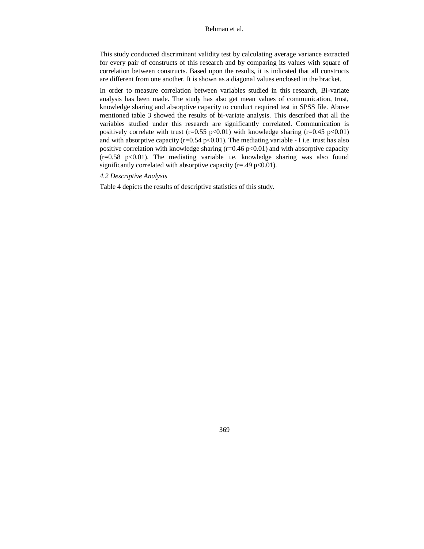This study conducted discriminant validity test by calculating average variance extracted for every pair of constructs of this research and by comparing its values with square of correlation between constructs. Based upon the results, it is indicated that all constructs are different from one another. It is shown as a diagonal values enclosed in the bracket.

In order to measure correlation between variables studied in this research, Bi-variate analysis has been made. The study has also get mean values of communication, trust, knowledge sharing and absorptive capacity to conduct required test in SPSS file. Above mentioned table 3 showed the results of bi-variate analysis. This described that all the variables studied under this research are significantly correlated. Communication is positively correlate with trust ( $r=0.55$  p $<0.01$ ) with knowledge sharing ( $r=0.45$  p $<0.01$ ) and with absorptive capacity  $(r=0.54 \text{ p} < 0.01)$ . The mediating variable - I i.e. trust has also positive correlation with knowledge sharing  $(r=0.46 \text{ p} < 0.01)$  and with absorptive capacity  $(r=0.58 \text{ p} < 0.01)$ . The mediating variable i.e. knowledge sharing was also found significantly correlated with absorptive capacity ( $r = .49$  p<0.01).

# *4.2 Descriptive Analysis*

Table 4 depicts the results of descriptive statistics of this study.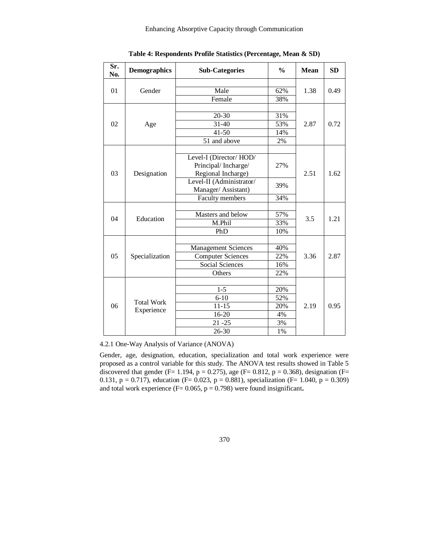## Enhancing Absorptive Capacity through Communication

| Sr.<br>No. | <b>Demographics</b> | <b>Sub-Categories</b>                                                                                                 | $\frac{0}{0}$ | <b>Mean</b> | <b>SD</b> |
|------------|---------------------|-----------------------------------------------------------------------------------------------------------------------|---------------|-------------|-----------|
|            |                     |                                                                                                                       |               |             |           |
| 01         | Gender              | Male                                                                                                                  | 62%           | 1.38        | 0.49      |
|            |                     | Female                                                                                                                | 38%           |             |           |
|            |                     |                                                                                                                       |               |             |           |
| 02         |                     | 20-30                                                                                                                 | 31%           |             |           |
|            | Age                 | 31-40                                                                                                                 | 53%           | 2.87        | 0.72      |
|            |                     | $41 - 50$                                                                                                             | 14%           |             |           |
|            |                     | 51 and above                                                                                                          | 2%            |             |           |
| 03         | Designation         | Level-I (Director/HOD/<br>Principal/Incharge/<br>Regional Incharge)<br>Level-II (Administrator/<br>Manager/Assistant) | 27%<br>39%    | 2.51        | 1.62      |
|            |                     | Faculty members                                                                                                       | 34%           |             |           |
|            | Education           | Masters and below                                                                                                     | 57%           |             | 1.21      |
| 04         |                     | M.Phil                                                                                                                | 33%           | 3.5         |           |
|            |                     | PhD                                                                                                                   | 10%           |             |           |
|            |                     |                                                                                                                       |               |             |           |
|            |                     | <b>Management Sciences</b>                                                                                            | 40%           |             |           |
| 05         | Specialization      | <b>Computer Sciences</b>                                                                                              | 22%           | 3.36        | 2.87      |
|            |                     | <b>Social Sciences</b>                                                                                                | 16%           |             |           |
|            |                     | Others                                                                                                                | 22%           |             |           |
|            |                     |                                                                                                                       |               |             |           |
|            |                     | $1 - 5$                                                                                                               | 20%           |             |           |
|            | <b>Total Work</b>   | $6 - 10$                                                                                                              | 52%           |             |           |
| 06         | Experience          | $11 - 15$                                                                                                             | 20%           | 2.19        | 0.95      |
|            |                     | 16-20                                                                                                                 | 4%            |             |           |
|            |                     | $21 - 25$                                                                                                             | 3%            |             |           |
|            |                     | 26-30                                                                                                                 | 1%            |             |           |

**Table 4: Respondents Profile Statistics (Percentage, Mean & SD)**

4.2.1 One-Way Analysis of Variance (ANOVA)

Gender, age, designation, education, specialization and total work experience were proposed as a control variable for this study. The ANOVA test results showed in Table 5 discovered that gender (F= 1.194, p = 0.275), age (F= 0.812, p = 0.368), designation (F= 0.131,  $p = 0.717$ ), education (F= 0.023,  $p = 0.881$ ), specialization (F= 1.040,  $p = 0.309$ ) and total work experience (F= 0.065, p = 0.798) were found insignificant**.**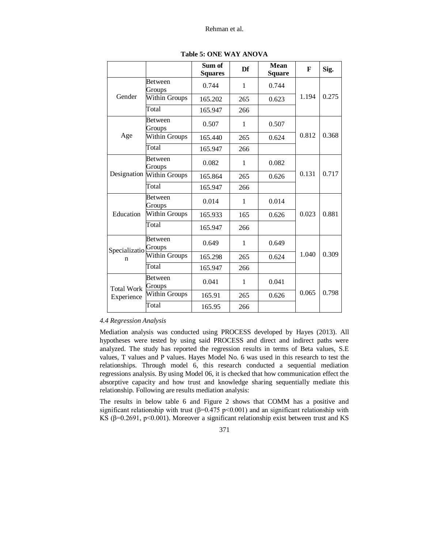|                                 |                           | Sum of<br><b>Squares</b> | Df  | <b>Mean</b><br><b>Square</b> | F     | Sig.  |
|---------------------------------|---------------------------|--------------------------|-----|------------------------------|-------|-------|
|                                 | Between<br>Groups         | 0.744                    | 1   | 0.744                        |       |       |
| Gender                          | Within Groups             | 165.202                  | 265 | 0.623                        | 1.194 | 0.275 |
|                                 | Total                     | 165.947                  | 266 |                              |       |       |
|                                 | <b>Between</b><br>Groups  | 0.507                    | 1   | 0.507                        |       |       |
| Age                             | <b>Within Groups</b>      | 165.440                  | 265 | 0.624                        | 0.812 | 0.368 |
|                                 | Total                     | 165.947                  | 266 |                              |       |       |
|                                 | Between<br>Groups         | 0.082                    | 1   | 0.082                        |       | 0.717 |
|                                 | Designation Within Groups | 165.864                  | 265 | 0.626                        | 0.131 |       |
|                                 | Total                     | 165.947                  | 266 |                              |       |       |
|                                 | Between<br>Groups         | 0.014                    | 1   | 0.014                        |       | 0.881 |
| Education                       | Within Groups             | 165.933                  | 165 | 0.626                        | 0.023 |       |
|                                 | Total                     | 165.947                  | 266 |                              |       |       |
| Specializatio <sup>Croups</sup> | Between                   | 0.649                    | 1   | 0.649                        |       |       |
| n                               | Within Groups             | 165.298                  | 265 | 0.624                        | 1.040 | 0.309 |
|                                 | Total                     | 165.947                  | 266 |                              |       |       |
| <b>Total Work</b>               | <b>Between</b><br>Groups  | 0.041                    | 1   | 0.041                        |       |       |
| Experience                      | Within Groups             | 165.91                   | 265 | 0.626                        | 0.065 | 0.798 |
|                                 | Total                     | 165.95                   | 266 |                              |       |       |

**Table 5: ONE WAY ANOVA**

# *4.4 Regression Analysis*

Mediation analysis was conducted using PROCESS developed by [Hayes \(2013\).](#page-22-15) All hypotheses were tested by using said PROCESS and direct and indirect paths were analyzed. The study has reported the regression results in terms of Beta values, S.E values, T values and P values. Hayes Model No. 6 was used in this research to test the relationships. Through model 6, this research conducted a sequential mediation regressions analysis. By using Model 06, it is checked that how communication effect the absorptive capacity and how trust and knowledge sharing sequentially mediate this relationship. Following are results mediation analysis:

The results in below table 6 and Figure 2 shows that COMM has a positive and significant relationship with trust ( $\beta$ =0.475 p <0.001) and an significant relationship with KS ( $\beta$ =0.2691, p<0.001). Moreover a significant relationship exist between trust and KS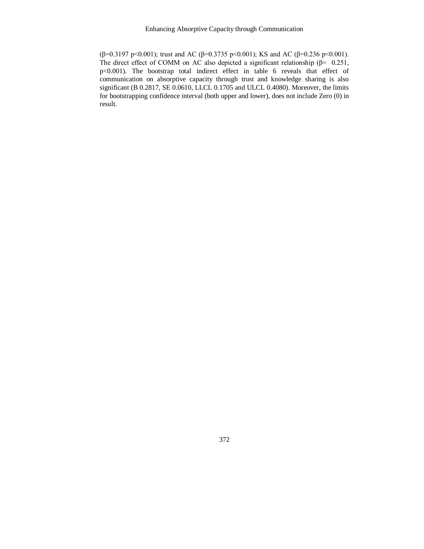(β=0.3197 p<0.001); trust and AC (β=0.3735 p<0.001); KS and AC (β=0.236 p<0.001). The direct effect of COMM on AC also depicted a significant relationship ( $\beta$ = 0.251, p<0.001). The bootstrap total indirect effect in table 6 reveals that effect of communication on absorptive capacity through trust and knowledge sharing is also significant (B 0.2817, SE 0.0610, LLCL 0.1705 and ULCL 0.4080). Moreover, the limits for bootstrapping confidence interval (both upper and lower), does not include Zero (0) in result.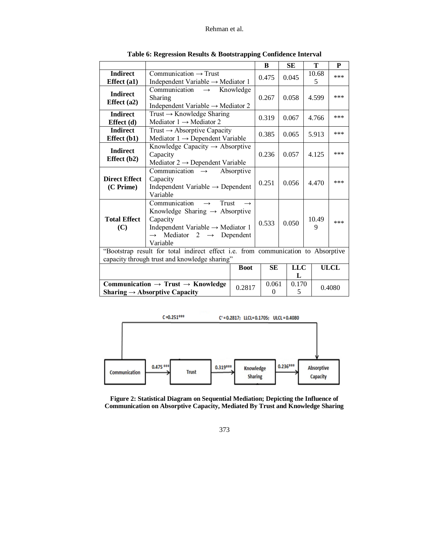|                                   |                                                                                                                                                                                                                           |               | B                 | <b>SE</b>       | T               | P           |
|-----------------------------------|---------------------------------------------------------------------------------------------------------------------------------------------------------------------------------------------------------------------------|---------------|-------------------|-----------------|-----------------|-------------|
| <b>Indirect</b><br>Effect (a1)    | $Commonization \rightarrow Trust$<br>Independent Variable $\rightarrow$ Mediator 1                                                                                                                                        |               | 0.475             | 0.045           | 10.68<br>5      | ***         |
| <b>Indirect</b><br>Effect $(a2)$  | Communication<br>$\rightarrow$<br>Sharing<br>Independent Variable $\rightarrow$ Mediator 2                                                                                                                                | Knowledge     | 0.267             | 0.058           | 4.599           | ***         |
| <b>Indirect</b><br>Effect $(d)$   | Trust $\rightarrow$ Knowledge Sharing<br>Mediator $1 \rightarrow$ Mediator 2                                                                                                                                              |               | 0.319             | 0.067           | 4.766           | $***$       |
| <b>Indirect</b><br>Effect $(b1)$  | Trust $\rightarrow$ Absorptive Capacity<br>Mediator $1 \rightarrow$ Dependent Variable                                                                                                                                    |               | 0.385             | 0.065           | 5.913           | ***         |
| <b>Indirect</b><br>Effect $(b2)$  | Knowledge Capacity $\rightarrow$ Absorptive<br>Capacity<br>Mediator $2 \rightarrow$ Dependent Variable                                                                                                                    |               | 0.236             | 0.057           | 4.125           | ***         |
| <b>Direct Effect</b><br>(C Prime) | Communication $\rightarrow$<br>Capacity<br>Independent Variable $\rightarrow$ Dependent<br>Variable                                                                                                                       | Absorptive    | 0.251             | 0.056           | 4.470           | ***         |
| <b>Total Effect</b><br>(C)        | Communication<br><b>Trust</b><br>$\rightarrow$<br>Knowledge Sharing $\rightarrow$ Absorptive<br>Capacity<br>Independent Variable $\rightarrow$ Mediator 1<br>$\rightarrow$ Mediator 2 $\rightarrow$ Dependent<br>Variable | $\rightarrow$ | 0.533             | 0.050           | 10.49<br>9      | ***         |
|                                   | "Bootstrap result for total indirect effect i.e. from communication to Absorptive<br>capacity through trust and knowledge sharing"                                                                                        |               |                   |                 |                 |             |
| <b>Boot</b>                       |                                                                                                                                                                                                                           |               | <b>SE</b>         | <b>LLC</b><br>L |                 | <b>ULCL</b> |
|                                   | Communication $\rightarrow$ Trust $\rightarrow$ Knowledge<br>Sharing $\rightarrow$ Absorptive Capacity                                                                                                                    | 0.2817        | 0.061<br>$\theta$ | 5               | 0.170<br>0.4080 |             |

**Table 6: Regression Results & Bootstrapping Confidence Interval**



**Figure 2: Statistical Diagram on Sequential Mediation; Depicting the Influence of Communication on Absorptive Capacity, Mediated By Trust and Knowledge Sharing**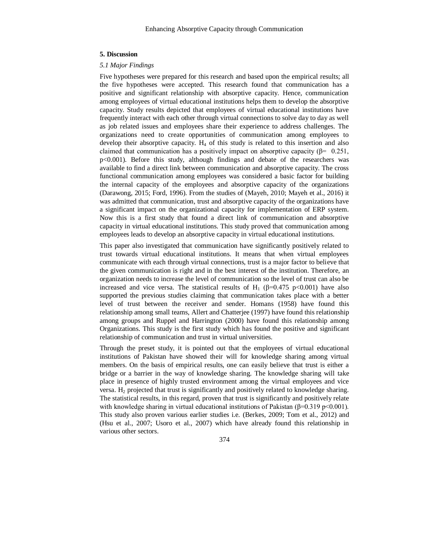## **5. Discussion**

#### *5.1 Major Findings*

Five hypotheses were prepared for this research and based upon the empirical results; all the five hypotheses were accepted. This research found that communication has a positive and significant relationship with absorptive capacity. Hence, communication among employees of virtual educational institutions helps them to develop the absorptive capacity. Study results depicted that employees of virtual educational institutions have frequently interact with each other through virtual connections to solve day to day as well as job related issues and employees share their experience to address challenges. The organizations need to create opportunities of communication among employees to develop their absorptive capacity.  $H_4$  of this study is related to this insertion and also claimed that communication has a positively impact on absorptive capacity ( $\beta$ = 0.251, p<0.001). Before this study, although findings and debate of the researchers was available to find a direct link between communication and absorptive capacity. The cross functional communication among employees was considered a basic factor for building the internal capacity of the employees and absorptive capacity of the organizations [\(Darawong, 2015;](#page-20-2) [Ford, 1996\)](#page-21-11). From the studies of [\(Mayeh, 2010;](#page-23-13) [Mayeh et al., 2016\)](#page-24-0) it was admitted that communication, trust and absorptive capacity of the organizations have a significant impact on the organizational capacity for implementation of ERP system. Now this is a first study that found a direct link of communication and absorptive capacity in virtual educational institutions. This study proved that communication among employees leads to develop an absorptive capacity in virtual educational institutions.

This paper also investigated that communication have significantly positively related to trust towards virtual educational institutions. It means that when virtual employees communicate with each through virtual connections, trust is a major factor to believe that the given communication is right and in the best interest of the institution. Therefore, an organization needs to increase the level of communication so the level of trust can also be increased and vice versa. The statistical results of H<sub>1</sub> ( $\beta$ =0.475 p<0.001) have also supported the previous studies claiming that communication takes place with a better level of trust between the receiver and sender. [Homans \(1958\)](#page-22-16) have found this relationship among small teams, [Allert and Chatterjee \(1997\)](#page-19-11) have found this relationship among groups and [Ruppel and Harrington \(2000\)](#page-25-8) have found this relationship among Organizations. This study is the first study which has found the positive and significant relationship of communication and trust in virtual universities.

Through the preset study, it is pointed out that the employees of virtual educational institutions of Pakistan have showed their will for knowledge sharing among virtual members. On the basis of empirical results, one can easily believe that trust is either a bridge or a barrier in the way of knowledge sharing. The knowledge sharing will take place in presence of highly trusted environment among the virtual employees and vice versa.  $H_2$  projected that trust is significantly and positively related to knowledge sharing. The statistical results, in this regard, proven that trust is significantly and positively relate with knowledge sharing in virtual educational institutions of Pakistan ( $\beta$ =0.319 p<0.001). This study also proven various earlier studies i.e. [\(Berkes, 2009;](#page-20-16) Tom [et al., 2012\)](#page-26-12) and [\(Hsu et al., 2007;](#page-22-7) [Usoro et al., 2007\)](#page-26-9) which have already found this relationship in various other sectors.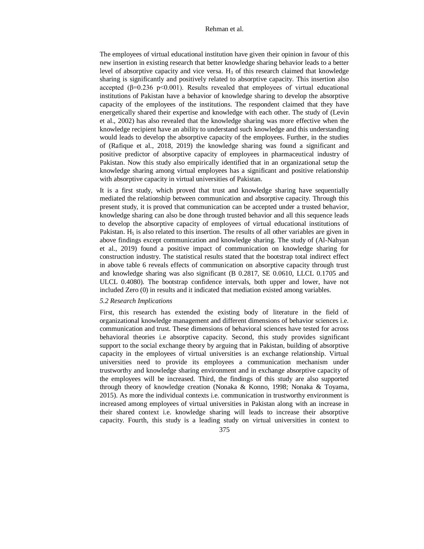The employees of virtual educational institution have given their opinion in favour of this new insertion in existing research that better knowledge sharing behavior leads to a better level of absorptive capacity and vice versa.  $H_3$  of this research claimed that knowledge sharing is significantly and positively related to absorptive capacity. This insertion also accepted ( $\beta$ =0.236 p<0.001). Results revealed that employees of virtual educational institutions of Pakistan have a behavior of knowledge sharing to develop the absorptive capacity of the employees of the institutions. The respondent claimed that they have energetically shared their expertise and knowledge with each other. The study of [\(Levin](#page-23-14) [et al., 2002\)](#page-23-14) has also revealed that the knowledge sharing was more effective when the knowledge recipient have an ability to understand such knowledge and this understanding would leads to develop the absorptive capacity of the employees. Further, in the studies of (Rafique [et al., 2018,](#page-25-14) [2019\)](#page-25-15) the knowledge sharing was found a significant and positive predictor of absorptive capacity of employees in pharmaceutical industry of Pakistan. Now this study also empirically identified that in an organizational setup the knowledge sharing among virtual employees has a significant and positive relationship with absorptive capacity in virtual universities of Pakistan.

It is a first study, which proved that trust and knowledge sharing have sequentially mediated the relationship between communication and absorptive capacity. Through this present study, it is proved that communication can be accepted under a trusted behavior, knowledge sharing can also be done through trusted behavior and all this sequence leads to develop the absorptive capacity of employees of virtual educational institutions of Pakistan.  $H<sub>5</sub>$  is also related to this insertion. The results of all other variables are given in above findings except communication and knowledge sharing. The study of [\(Al-Nahyan](#page-19-12) [et al., 2019\)](#page-19-12) found a positive impact of communication on knowledge sharing for construction industry. The statistical results stated that the bootstrap total indirect effect in above table 6 reveals effects of communication on absorptive capacity through trust and knowledge sharing was also significant (B 0.2817, SE 0.0610, LLCL 0.1705 and ULCL 0.4080). The bootstrap confidence intervals, both upper and lower, have not included Zero (0) in results and it indicated that mediation existed among variables.

## *5.2 Research Implications*

First, this research has extended the existing body of literature in the field of organizational knowledge management and different dimensions of behavior sciences i.e. communication and trust. These dimensions of behavioral sciences have tested for across behavioral theories i.e absorptive capacity. Second, this study provides significant support to the social exchange theory by arguing that in Pakistan, building of absorptive capacity in the employees of virtual universities is an exchange relationship. Virtual universities need to provide its employees a communication mechanism under trustworthy and knowledge sharing environment and in exchange absorptive capacity of the employees will be increased. Third, the findings of this study are also supported through theory of knowledge creation [\(Nonaka & Konno, 1998;](#page-24-7) [Nonaka & Toyama,](#page-24-16)  [2015\)](#page-24-16). As more the individual contexts i.e. communication in trustworthy environment is increased among employees of virtual universities in Pakistan along with an increase in their shared context i.e. knowledge sharing will leads to increase their absorptive capacity. Fourth, this study is a leading study on virtual universities in context to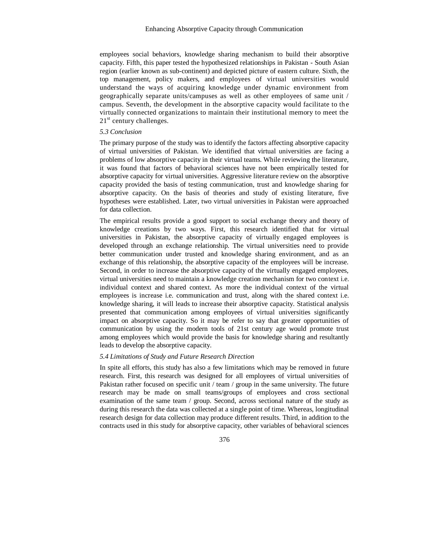employees social behaviors, knowledge sharing mechanism to build their absorptive capacity. Fifth, this paper tested the hypothesized relationships in Pakistan - South Asian region (earlier known as sub-continent) and depicted picture of eastern culture. Sixth, the top management, policy makers, and employees of virtual universities would understand the ways of acquiring knowledge under dynamic environment from geographically separate units/campuses as well as other employees of same unit / campus. Seventh, the development in the absorptive capacity would facilitate to the virtually connected organizations to maintain their institutional memory to meet the  $21<sup>st</sup>$  century challenges.

## *5.3 Conclusion*

The primary purpose of the study was to identify the factors affecting absorptive capacity of virtual universities of Pakistan. We identified that virtual universities are facing a problems of low absorptive capacity in their virtual teams. While reviewing the literature, it was found that factors of behavioral sciences have not been empirically tested for absorptive capacity for virtual universities. Aggressive literature review on the absorptive capacity provided the basis of testing communication, trust and knowledge sharing for absorptive capacity. On the basis of theories and study of existing literature, five hypotheses were established. Later, two virtual universities in Pakistan were approached for data collection.

The empirical results provide a good support to social exchange theory and theory of knowledge creations by two ways. First, this research identified that for virtual universities in Pakistan, the absorptive capacity of virtually engaged employees is developed through an exchange relationship. The virtual universities need to provide better communication under trusted and knowledge sharing environment, and as an exchange of this relationship, the absorptive capacity of the employees will be increase. Second, in order to increase the absorptive capacity of the virtually engaged employees, virtual universities need to maintain a knowledge creation mechanism for two context i.e. individual context and shared context. As more the individual context of the virtual employees is increase i.e. communication and trust, along with the shared context i.e. knowledge sharing, it will leads to increase their absorptive capacity. Statistical analysis presented that communication among employees of virtual universities significantly impact on absorptive capacity. So it may be refer to say that greater opportunities of communication by using the modern tools of 21st century age would promote trust among employees which would provide the basis for knowledge sharing and resultantly leads to develop the absorptive capacity.

# *5.4 Limitations of Study and Future Research Direction*

In spite all efforts, this study has also a few limitations which may be removed in future research. First, this research was designed for all employees of virtual universities of Pakistan rather focused on specific unit / team / group in the same university. The future research may be made on small teams/groups of employees and cross sectional examination of the same team / group. Second, across sectional nature of the study as during this research the data was collected at a single point of time. Whereas, longitudinal research design for data collection may produce different results. Third, in addition to the contracts used in this study for absorptive capacity, other variables of behavioral sciences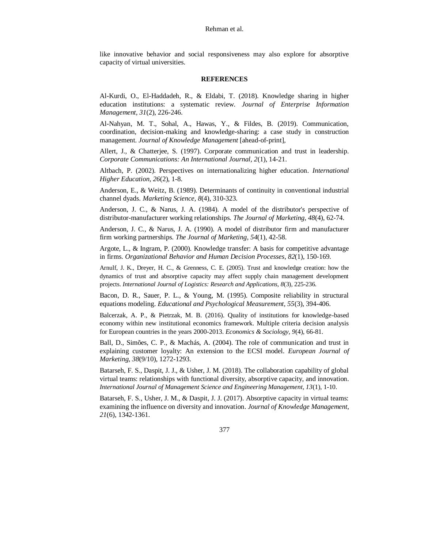like innovative behavior and social responsiveness may also explore for absorptive capacity of virtual universities.

## <span id="page-19-11"></span>**REFERENCES**

<span id="page-19-1"></span>Al-Kurdi, O., El-Haddadeh, R., & Eldabi, T. (2018). Knowledge sharing in higher education institutions: a systematic review. *Journal of Enterprise Information Management, 31*(2), 226-246.

<span id="page-19-12"></span>Al-Nahyan, M. T., Sohal, A., Hawas, Y., & Fildes, B. (2019). Communication, coordination, decision-making and knowledge-sharing: a case study in construction management. *Journal of Knowledge Management* [ahead-of-print]*,*

Allert, J., & Chatterjee, S. (1997). Corporate communication and trust in leadership. *Corporate Communications: An International Journal, 2*(1), 14-21.

<span id="page-19-0"></span>Altbach, P. (2002). Perspectives on internationalizing higher education. *International Higher Education, 26*(2), 1-8.

<span id="page-19-7"></span>Anderson, E., & Weitz, B. (1989). Determinants of continuity in conventional industrial channel dyads. *Marketing Science, 8*(4), 310-323.

<span id="page-19-4"></span>Anderson, J. C., & Narus, J. A. (1984). A model of the distributor's perspective of distributor-manufacturer working relationships. *The Journal of Marketing, 48*(4), 62-74.

<span id="page-19-8"></span>Anderson, J. C., & Narus, J. A. (1990). A model of distributor firm and manufacturer firm working partnerships. *The Journal of Marketing, 54*(1), 42-58.

<span id="page-19-6"></span>Argote, L., & Ingram, P. (2000). Knowledge transfer: A basis for competitive advantage in firms. *Organizational Behavior and Human Decision Processes, 82*(1), 150-169.

<span id="page-19-9"></span>Arnulf, J. K., Dreyer, H. C., & Grenness, C. E. (2005). Trust and knowledge creation: how the dynamics of trust and absorptive capacity may affect supply chain management development projects. *International Journal of Logistics: Research and Applications, 8*(3), 225-236.

<span id="page-19-10"></span>Bacon, D. R., Sauer, P. L., & Young, M. (1995). Composite reliability in structural equations modeling. *Educational and Psychological Measurement, 55*(3), 394-406.

<span id="page-19-2"></span>Balcerzak, A. P., & Pietrzak, M. B. (2016). Quality of institutions for knowledge-based economy within new institutional economics framework. Multiple criteria decision analysis for European countries in the years 2000-2013. *Economics & Sociology, 9*(4), 66-81.

<span id="page-19-5"></span>Ball, D., Simões, C. P., & Machás, A. (2004). The role of communication and trust in explaining customer loyalty: An extension to the ECSI model. *European Journal of Marketing, 38*(9/10), 1272-1293.

<span id="page-19-3"></span>Batarseh, F. S., Daspit, J. J., & Usher, J. M. (2018). The collaboration capability of global virtual teams: relationships with functional diversity, absorptive capacity, and innovation. *International Journal of Management Science and Engineering Management, 13*(1), 1-10.

Batarseh, F. S., Usher, J. M., & Daspit, J. J. (2017). Absorptive capacity in virtual teams: examining the influence on diversity and innovation. *Journal of Knowledge Management, 21*(6), 1342-1361.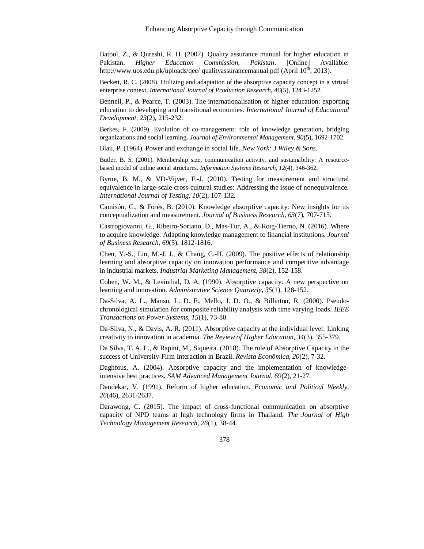<span id="page-20-5"></span>Batool, Z., & Qureshi, R. H. (2007). Quality assurance manual for higher education in Pakistan. *Higher Education Commission, Pakistan*. [Online] Available: http://www.uos.edu.pk/uploads/qec/\_qualityassurancemanual.pdf (April  $10<sup>th</sup>$ , 2013).

<span id="page-20-0"></span>Beckett, R. C. (2008). Utilizing and adaptation of the absorptive capacity concept in a virtual enterprise context. *International Journal of Production Research, 46*(5), 1243-1252.

<span id="page-20-4"></span>Bennell, P., & Pearce, T. (2003). The internationalisation of higher education: exporting education to developing and transitional economies. *International Journal of Educational Development, 23*(2), 215-232.

<span id="page-20-16"></span>Berkes, F. (2009). Evolution of co-management: role of knowledge generation, bridging organizations and social learning. *Journal of Environmental Management, 90*(5), 1692-1702.

<span id="page-20-10"></span>Blau, P. (1964). Power and exchange in social life. *New York: J Wiley & Sons*.

<span id="page-20-11"></span>Butler, B. S. (2001). Membership size, communication activity, and sustainability: A resourcebased model of online social structures. *Information Systems Research, 12*(4), 346-362.

<span id="page-20-14"></span>Byrne, B. M., & VD-Vijver, F.-J. (2010). Testing for measurement and structural equivalence in large-scale cross-cultural studies: Addressing the issue of nonequivalence. *International Journal of Testing, 10*(2), 107-132.

<span id="page-20-9"></span>Camisón, C., & Forés, B. (2010). Knowledge absorptive capacity: New insights for its conceptualization and measurement. *Journal of Business Research, 63*(7), 707-715.

<span id="page-20-6"></span>Castrogiovanni, G., Ribeiro-Soriano, D., Mas-Tur, A., & Roig-Tierno, N. (2016). Where to acquire knowledge: Adapting knowledge management to financial institutions. *Journal of Business Research, 69*(5), 1812-1816.

<span id="page-20-1"></span>Chen, Y.-S., Lin, M.-J. J., & Chang, C.-H. (2009). The positive effects of relationship learning and absorptive capacity on innovation performance and competitive advantage in industrial markets. *Industrial Marketing Management, 38*(2), 152-158.

<span id="page-20-7"></span>Cohen, W. M., & Levinthal, D. A. (1990). Absorptive capacity: A new perspective on learning and innovation. *Administrative Science Quarterly, 35*(1), 128-152.

<span id="page-20-15"></span>Da-Silva, A. L., Manso, L. D. F., Mello, J. D. O., & Billinton, R. (2000). Pseudochronological simulation for composite reliability analysis with time varying loads. *IEEE Transactions on Power Systems, 15*(1), 73-80.

<span id="page-20-13"></span>Da-Silva, N., & Davis, A. R. (2011). Absorptive capacity at the individual level: Linking creativity to innovation in academia. *The Review of Higher Education, 34*(3), 355-379.

<span id="page-20-8"></span>Da Silva, T. A. L., & Rapini, M., Siqueira. (2018). The role of Absorptive Capacity in the success of University-Firm Interaction in Brazil. *Revista Econômica, 20*(2), 7-32.

<span id="page-20-12"></span>Daghfous, A. (2004). Absorptive capacity and the implementation of knowledgeintensive best practices. *SAM Advanced Management Journal, 69*(2), 21-27.

<span id="page-20-3"></span>Dandekar, V. (1991). Reform of higher education. *Economic and Political Weekly, 26*(46), 2631-2637.

<span id="page-20-2"></span>Darawong, C. (2015). The impact of cross-functional communication on absorptive capacity of NPD teams at high technology firms in Thailand. *The Journal of High Technology Management Research, 26*(1), 38-44.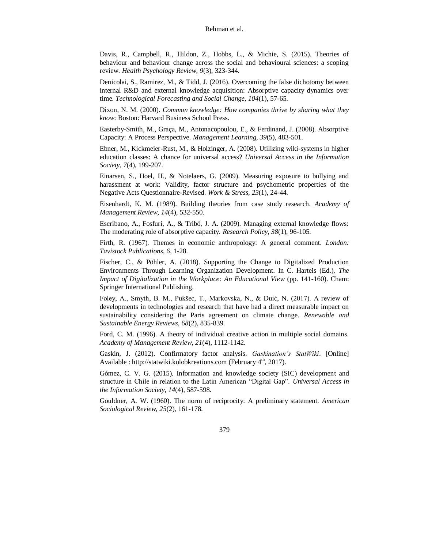<span id="page-21-2"></span>Davis, R., Campbell, R., Hildon, Z., Hobbs, L., & Michie, S. (2015). Theories of behaviour and behaviour change across the social and behavioural sciences: a scoping review. *Health Psychology Review, 9*(3), 323-344.

<span id="page-21-1"></span>Denicolai, S., Ramirez, M., & Tidd, J. (2016). Overcoming the false dichotomy between internal R&D and external knowledge acquisition: Absorptive capacity dynamics over time. *Technological Forecasting and Social Change, 104*(1), 57-65.

<span id="page-21-10"></span>Dixon, N. M. (2000). *Common knowledge: How companies thrive by sharing what they know*: Boston: Harvard Business School Press.

<span id="page-21-9"></span>Easterby-Smith, M., Graça, M., Antonacopoulou, E., & Ferdinand, J. (2008). Absorptive Capacity: A Process Perspective. *Management Learning, 39*(5), 483-501.

<span id="page-21-4"></span>Ebner, M., Kickmeier-Rust, M., & Holzinger, A. (2008). Utilizing wiki-systems in higher education classes: A chance for universal access? *Universal Access in the Information Society, 7*(4), 199-207.

<span id="page-21-13"></span>Einarsen, S., Hoel, H., & Notelaers, G. (2009). Measuring exposure to bullying and harassment at work: Validity, factor structure and psychometric properties of the Negative Acts Questionnaire-Revised. *Work & Stress, 23*(1), 24-44.

<span id="page-21-12"></span>Eisenhardt, K. M. (1989). Building theories from case study research. *Academy of Management Review, 14*(4), 532-550.

<span id="page-21-5"></span>Escribano, A., Fosfuri, A., & Tribó, J. A. (2009). Managing external knowledge flows: The moderating role of absorptive capacity. *Research Policy, 38*(1), 96-105.

<span id="page-21-7"></span>Firth, R. (1967). Themes in economic anthropology: A general comment. *London: Tavistock Publications, 6*, 1-28.

<span id="page-21-0"></span>Fischer, C., & Pöhler, A. (2018). Supporting the Change to Digitalized Production Environments Through Learning Organization Development. In C. Harteis (Ed.), *The Impact of Digitalization in the Workplace: An Educational View* (pp. 141-160). Cham: Springer International Publishing.

<span id="page-21-8"></span>Foley, A., Smyth, B. M., Pukšec, T., Markovska, N., & Duić, N. (2017). A review of developments in technologies and research that have had a direct measurable impact on sustainability considering the Paris agreement on climate change. *Renewable and Sustainable Energy Reviews, 68*(2), 835-839.

<span id="page-21-11"></span>Ford, C. M. (1996). A theory of individual creative action in multiple social domains. *Academy of Management Review, 21*(4), 1112-1142.

<span id="page-21-14"></span>Gaskin, J. (2012). Confirmatory factor analysis. *Gaskination's StatWiki*. [Online] Available : http://statwiki.kolobkreations.com (February 4<sup>th</sup>, 2017).

<span id="page-21-3"></span>Gómez, C. V. G. (2015). Information and knowledge society (SIC) development and structure in Chile in relation to the Latin American "Digital Gap". *Universal Access in the Information Society, 14*(4), 587-598.

<span id="page-21-6"></span>Gouldner, A. W. (1960). The norm of reciprocity: A preliminary statement. *American Sociological Review, 25*(2), 161-178.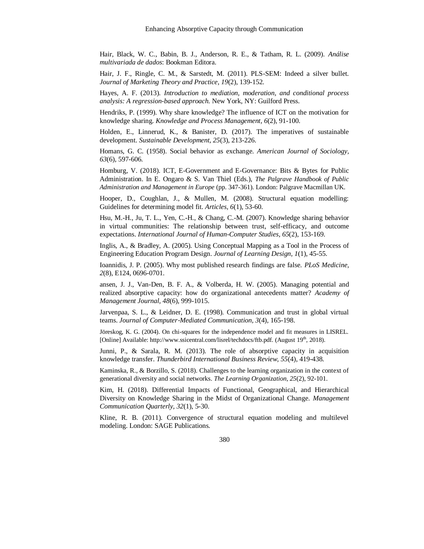<span id="page-22-10"></span>Hair, Black, W. C., Babin, B. J., Anderson, R. E., & Tatham, R. L. (2009). *Análise multivariada de dados*: Bookman Editora.

<span id="page-22-14"></span>Hair, J. F., Ringle, C. M., & Sarstedt, M. (2011). PLS-SEM: Indeed a silver bullet. *Journal of Marketing Theory and Practice, 19*(2), 139-152.

<span id="page-22-15"></span>Hayes, A. F. (2013). *Introduction to mediation, moderation, and conditional process analysis: A regression-based approach*. New York, NY: Guilford Press.

<span id="page-22-8"></span>Hendriks, P. (1999). Why share knowledge? The influence of ICT on the motivation for knowledge sharing. *Knowledge and Process Management, 6*(2), 91-100.

<span id="page-22-5"></span>Holden, E., Linnerud, K., & Banister, D. (2017). The imperatives of sustainable development. *Sustainable Development, 25*(3), 213-226.

<span id="page-22-16"></span>Homans, G. C. (1958). Social behavior as exchange. *American Journal of Sociology, 63*(6), 597-606.

<span id="page-22-0"></span>Homburg, V. (2018). ICT, E-Government and E-Governance: Bits & Bytes for Public Administration. In E. Ongaro & S. Van Thiel (Eds.), *The Palgrave Handbook of Public Administration and Management in Europe* (pp. 347-361). London: Palgrave Macmillan UK.

<span id="page-22-13"></span>Hooper, D., Coughlan, J., & Mullen, M. (2008). Structural equation modelling: Guidelines for determining model fit. *Articles, 6*(1), 53-60.

<span id="page-22-7"></span>Hsu, M.-H., Ju, T. L., Yen, C.-H., & Chang, C.-M. (2007). Knowledge sharing behavior in virtual communities: The relationship between trust, self-efficacy, and outcome expectations. *International Journal of Human-Computer Studies, 65*(2), 153-169.

<span id="page-22-3"></span>Inglis, A., & Bradley, A. (2005). Using Conceptual Mapping as a Tool in the Process of Engineering Education Program Design. *Journal of Learning Design, 1*(1), 45-55.

<span id="page-22-9"></span><span id="page-22-4"></span>Ioannidis, J. P. (2005). Why most published research findings are false. *PLoS Medicine, 2*(8), E124, 0696-0701.

ansen, J. J., Van-Den, B. F. A., & Volberda, H. W. (2005). Managing potential and realized absorptive capacity: how do organizational antecedents matter? *Academy of Management Journal, 48*(6), 999-1015.

<span id="page-22-6"></span>Jarvenpaa, S. L., & Leidner, D. E. (1998). Communication and trust in global virtual teams. *Journal of Computer*‐*Mediated Communication, 3*(4), 165-198.

<span id="page-22-12"></span>Jöreskog, K. G. (2004). On chi-squares for the independence model and fit measures in LISREL. [Online] Available: http://www.ssicentral.com/lisrel/techdocs/ftb.pdf. (August 19<sup>th</sup>, 2018).

<span id="page-22-2"></span>Junni, P., & Sarala, R. M. (2013). The role of absorptive capacity in acquisition knowledge transfer. *Thunderbird International Business Review, 55*(4), 419-438.

Kaminska, R., & Borzillo, S. (2018). Challenges to the learning organization in the context of generational diversity and social networks. *The Learning Organization, 25*(2), 92-101.

<span id="page-22-1"></span>Kim, H. (2018). Differential Impacts of Functional, Geographical, and Hierarchical Diversity on Knowledge Sharing in the Midst of Organizational Change. *Management Communication Quarterly, 32*(1), 5-30.

<span id="page-22-11"></span>Kline, R. B. (2011). Convergence of structural equation modeling and multilevel modeling. London: SAGE Publications.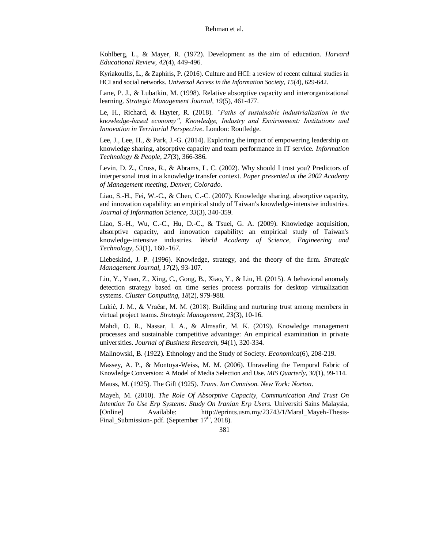<span id="page-23-3"></span>Kohlberg, L., & Mayer, R. (1972). Development as the aim of education. *Harvard Educational Review, 42*(4), 449-496.

Kyriakoullis, L., & Zaphiris, P. (2016). Culture and HCI: a review of recent cultural studies in HCI and social networks. *Universal Access in the Information Society, 15*(4), 629-642.

<span id="page-23-10"></span>Lane, P. J., & Lubatkin, M. (1998). Relative absorptive capacity and interorganizational learning. *Strategic Management Journal, 19*(5), 461-477.

<span id="page-23-4"></span>Le, H., Richard, & Hayter, R. (2018). *"Paths of sustainable industrialization in the knowledge-based economy", Knowledge, Industry and Environment: Institutions and Innovation in Territorial Perspective*. London: Routledge.

<span id="page-23-0"></span>Lee, J., Lee, H., & Park, J.-G. (2014). Exploring the impact of empowering leadership on knowledge sharing, absorptive capacity and team performance in IT service. *Information Technology & People, 27*(3), 366-386.

<span id="page-23-14"></span>Levin, D. Z., Cross, R., & Abrams, L. C. (2002). Why should I trust you? Predictors of interpersonal trust in a knowledge transfer context. *Paper presented at the 2002 Academy of Management meeting, Denver, Colorado*.

<span id="page-23-1"></span>Liao, S.-H., Fei, W.-C., & Chen, C.-C. (2007). Knowledge sharing, absorptive capacity, and innovation capability: an empirical study of Taiwan's knowledge-intensive industries. *Journal of Information Science, 33*(3), 340-359.

<span id="page-23-12"></span>Liao, S.-H., Wu, C.-C., Hu, D.-C., & Tsuei, G. A. (2009). Knowledge acquisition, absorptive capacity, and innovation capability: an empirical study of Taiwan's knowledge-intensive industries. *World Academy of Science, Engineering and Technology, 53*(1), 160.-167.

<span id="page-23-9"></span>Liebeskind, J. P. (1996). Knowledge, strategy, and the theory of the firm. *Strategic Management Journal, 17*(2), 93-107.

<span id="page-23-2"></span>Liu, Y., Yuan, Z., Xing, C., Gong, B., Xiao, Y., & Liu, H. (2015). A behavioral anomaly detection strategy based on time series process portraits for desktop virtualization systems. *Cluster Computing, 18*(2), 979-988.

<span id="page-23-8"></span>Lukić, J. M., & Vračar, M. M. (2018). Building and nurturing trust among members in virtual project teams. *Strategic Management, 23*(3), 10-16.

<span id="page-23-5"></span>Mahdi, O. R., Nassar, I. A., & Almsafir, M. K. (2019). Knowledge management processes and sustainable competitive advantage: An empirical examination in private universities. *Journal of Business Research, 94*(1), 320-334.

<span id="page-23-11"></span><span id="page-23-6"></span>Malinowski, B. (1922). Ethnology and the Study of Society. *Economica*(6), 208-219.

Massey, A. P., & Montoya-Weiss, M. M. (2006). Unraveling the Temporal Fabric of Knowledge Conversion: A Model of Media Selection and Use. *MIS Quarterly, 30*(1), 99-114.

<span id="page-23-7"></span>Mauss, M. (1925). The Gift (1925). *Trans. Ian Cunnison. New York: Norton*.

<span id="page-23-13"></span>Mayeh, M. (2010). *The Role Of Absorptive Capacity, Communication And Trust On Intention To Use Erp Systems: Study On Iranian Erp Users.* Universiti Sains Malaysia, [Online] Available: http://eprints.usm.my/23743/1/Maral\_Mayeh-Thesis-Final\_Submission-.pdf. (September 17<sup>th</sup>, 2018).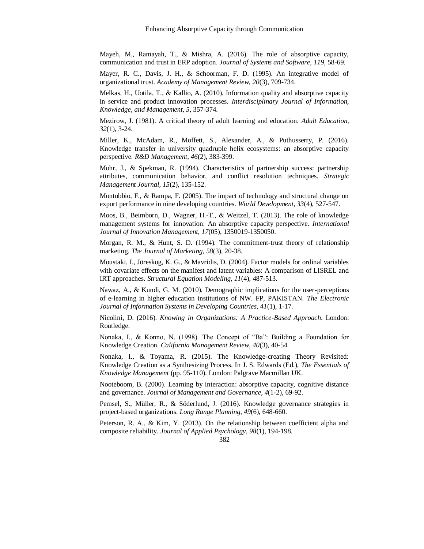<span id="page-24-0"></span>Mayeh, M., Ramayah, T., & Mishra, A. (2016). The role of absorptive capacity, communication and trust in ERP adoption. *Journal of Systems and Software, 119*, 58-69.

<span id="page-24-8"></span>Mayer, R. C., Davis, J. H., & Schoorman, F. D. (1995). An integrative model of organizational trust. *Academy of Management Review, 20*(3), 709-734.

<span id="page-24-9"></span>Melkas, H., Uotila, T., & Kallio, A. (2010). Information quality and absorptive capacity in service and product innovation processes. *Interdisciplinary Journal of Information, Knowledge, and Management, 5*, 357-374.

<span id="page-24-1"></span>Mezirow, J. (1981). A critical theory of adult learning and education. *Adult Education, 32*(1), 3-24.

<span id="page-24-13"></span>Miller, K., McAdam, R., Moffett, S., Alexander, A., & Puthusserry, P. (2016). Knowledge transfer in university quadruple helix ecosystems: an absorptive capacity perspective. *R&D Management, 46*(2), 383-399.

<span id="page-24-12"></span>Mohr, J., & Spekman, R. (1994). Characteristics of partnership success: partnership attributes, communication behavior, and conflict resolution techniques. *Strategic Management Journal, 15*(2), 135-152.

<span id="page-24-2"></span>Montobbio, F., & Rampa, F. (2005). The impact of technology and structural change on export performance in nine developing countries. *World Development, 33*(4), 527-547.

<span id="page-24-6"></span>Moos, B., Beimborn, D., Wagner, H.-T., & Weitzel, T. (2013). The role of knowledge management systems for innovation: An absorptive capacity perspective. *International Journal of Innovation Management, 17*(05), 1350019-1350050.

<span id="page-24-11"></span>Morgan, R. M., & Hunt, S. D. (1994). The commitment-trust theory of relationship marketing. *The Journal of Marketing, 58*(3), 20-38.

<span id="page-24-14"></span>Moustaki, I., Jöreskog, K. G., & Mavridis, D. (2004). Factor models for ordinal variables with covariate effects on the manifest and latent variables: A comparison of LISREL and IRT approaches. *Structural Equation Modeling, 11*(4), 487-513.

<span id="page-24-3"></span>Nawaz, A., & Kundi, G. M. (2010). Demographic implications for the user-perceptions of e-learning in higher education institutions of NW. FP, PAKISTAN. *The Electronic Journal of Information Systems in Developing Countries, 41*(1), 1-17.

<span id="page-24-4"></span>Nicolini, D. (2016). *Knowing in Organizations: A Practice-Based Approach*. London: Routledge.

<span id="page-24-7"></span>Nonaka, I., & Konno, N. (1998). The Concept of "Ba": Building a Foundation for Knowledge Creation. *California Management Review, 40*(3), 40-54.

<span id="page-24-16"></span>Nonaka, I., & Toyama, R. (2015). The Knowledge-creating Theory Revisited: Knowledge Creation as a Synthesizing Process. In J. S. Edwards (Ed.), *The Essentials of Knowledge Management* (pp. 95-110). London: Palgrave Macmillan UK.

<span id="page-24-10"></span>Nooteboom, B. (2000). Learning by interaction: absorptive capacity, cognitive distance and governance. *Journal of Management and Governance, 4*(1-2), 69-92.

<span id="page-24-5"></span>Pemsel, S., Müller, R., & Söderlund, J. (2016). Knowledge governance strategies in project-based organizations. *Long Range Planning, 49*(6), 648-660.

<span id="page-24-15"></span>Peterson, R. A., & Kim, Y. (2013). On the relationship between coefficient alpha and composite reliability. *Journal of Applied Psychology, 98*(1), 194-198.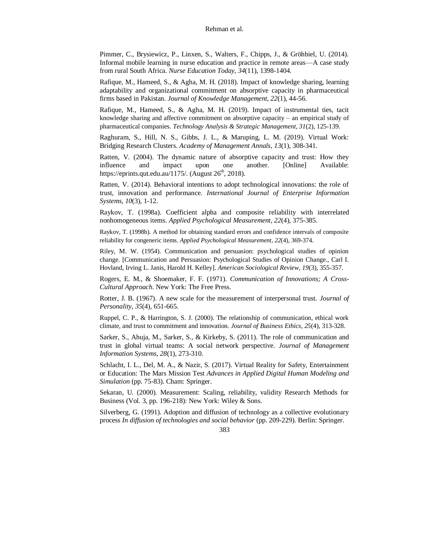<span id="page-25-3"></span>Pimmer, C., Brysiewicz, P., Linxen, S., Walters, F., Chipps, J., & Gröhbiel, U. (2014). Informal mobile learning in nurse education and practice in remote areas—A case study from rural South Africa. *Nurse Education Today, 34*(11), 1398-1404.

<span id="page-25-14"></span>Rafique, M., Hameed, S., & Agha, M. H. (2018). Impact of knowledge sharing, learning adaptability and organizational commitment on absorptive capacity in pharmaceutical firms based in Pakistan. *Journal of Knowledge Management, 22*(1), 44-56.

<span id="page-25-15"></span>Rafique, M., Hameed, S., & Agha, M. H. (2019). Impact of instrumental ties, tacit knowledge sharing and affective commitment on absorptive capacity – an empirical study of pharmaceutical companies. *Technology Analysis & Strategic Management, 31*(2), 125-139.

<span id="page-25-1"></span>Raghuram, S., Hill, N. S., Gibbs, J. L., & Maruping, L. M. (2019). Virtual Work: Bridging Research Clusters. *Academy of Management Annals, 13*(1), 308-341.

<span id="page-25-10"></span>Ratten, V. (2004). The dynamic nature of absorptive capacity and trust: How they influence and impact upon one another. [Online] Available: https://eprints.qut.edu.au/1175/. (August  $26<sup>th</sup>$ , 2018).

<span id="page-25-4"></span>Ratten, V. (2014). Behavioral intentions to adopt technological innovations: the role of trust, innovation and performance. *International Journal of Enterprise Information Systems, 10*(3), 1-12.

<span id="page-25-12"></span>Raykov, T. (1998a). Coefficient alpha and composite reliability with interrelated nonhomogeneous items. *Applied Psychological Measurement, 22*(4), 375-385.

<span id="page-25-13"></span>Raykov, T. (1998b). A method for obtaining standard errors and confidence intervals of composite reliability for congeneric items. *Applied Psychological Measurement, 22*(4), 369-374.

<span id="page-25-5"></span>Riley, M. W. (1954). Communication and persuasion: psychological studies of opinion change. [Communication and Persuasion: Psychological Studies of Opinion Change., Carl I. Hovland, Irving L. Janis, Harold H. Kelley]. *American Sociological Review, 19*(3), 355-357.

<span id="page-25-6"></span>Rogers, E. M., & Shoemaker, F. F. (1971). *Communication of Innovations; A Cross-Cultural Approach*. New York: The Free Press.

<span id="page-25-7"></span>Rotter, J. B. (1967). A new scale for the measurement of interpersonal trust. *Journal of Personality, 35*(4), 651-665.

<span id="page-25-8"></span>Ruppel, C. P., & Harrington, S. J. (2000). The relationship of communication, ethical work climate, and trust to commitment and innovation. *Journal of Business Ethics, 25*(4), 313-328.

<span id="page-25-2"></span>Sarker, S., Ahuja, M., Sarker, S., & Kirkeby, S. (2011). The role of communication and trust in global virtual teams: A social network perspective. *Journal of Management Information Systems, 28*(1), 273-310.

<span id="page-25-0"></span>Schlacht, I. L., Del, M. A., & Nazir, S. (2017). Virtual Reality for Safety, Entertainment or Education: The Mars Mission Test *Advances in Applied Digital Human Modeling and Simulation* (pp. 75-83). Cham: Springer.

<span id="page-25-11"></span>Sekaran, U. (2000). Measurement: Scaling, reliability, validity Research Methods for Business (Vol. 3, pp. 196-218): New York: Wiley & Sons.

<span id="page-25-9"></span>Silverberg, G. (1991). Adoption and diffusion of technology as a collective evolutionary process *In diffusion of technologies and social behavior* (pp. 209-229). Berlin: Springer.